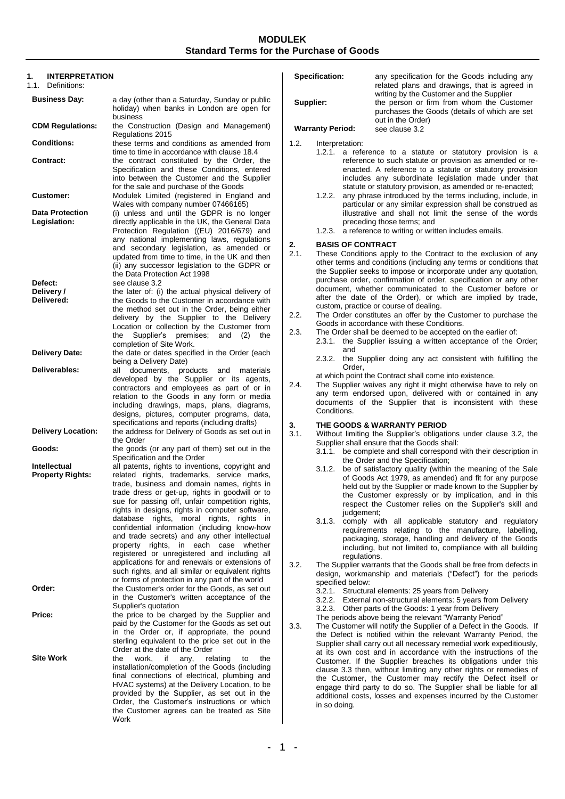### **MODULEK Standard Terms for the Purchase of Goods**

| <b>INTERPRETATION</b><br>1.<br>1.1.<br>Definitions: |                                                                                                                                                                                              |  |
|-----------------------------------------------------|----------------------------------------------------------------------------------------------------------------------------------------------------------------------------------------------|--|
| <b>Business Day:</b>                                | a day (other than a Saturday, Sunday or public<br>holiday) when banks in London are open for                                                                                                 |  |
| <b>CDM Regulations:</b>                             | business<br>the Construction (Design and Management)<br>Regulations 2015                                                                                                                     |  |
| <b>Conditions:</b>                                  | these terms and conditions as amended from                                                                                                                                                   |  |
| Contract:                                           | time to time in accordance with clause 18.4<br>the contract constituted by the Order, the<br>Specification and these Conditions, entered<br>into between the Customer and the Supplier       |  |
| <b>Customer:</b>                                    | for the sale and purchase of the Goods<br>Modulek Limited (registered in England and<br>Wales with company number 07466165)                                                                  |  |
| <b>Data Protection</b>                              | (i) unless and until the GDPR is no longer                                                                                                                                                   |  |
| Legislation:                                        | directly applicable in the UK, the General Data<br>Protection Regulation ((EU) 2016/679) and<br>any national implementing laws, regulations                                                  |  |
|                                                     | and secondary legislation, as amended or<br>updated from time to time, in the UK and then<br>(ii) any successor legislation to the GDPR or<br>the Data Protection Act 1998                   |  |
| Defect:                                             | see clause 3.2                                                                                                                                                                               |  |
| Delivery /<br>Delivered:                            | the later of: (i) the actual physical delivery of<br>the Goods to the Customer in accordance with                                                                                            |  |
|                                                     | the method set out in the Order, being either<br>delivery by the Supplier to the Delivery<br>Location or collection by the Customer from<br>Supplier's premises;<br>and<br>(2)<br>the<br>the |  |
| <b>Delivery Date:</b>                               | completion of Site Work.<br>the date or dates specified in the Order (each<br>being a Delivery Date)                                                                                         |  |
| Deliverables:                                       | documents,<br>products and<br>all<br>materials<br>developed by the Supplier or its agents,                                                                                                   |  |
|                                                     | contractors and employees as part of or in<br>relation to the Goods in any form or media<br>including drawings, maps, plans, diagrams,<br>designs, pictures, computer programs, data,        |  |
| <b>Delivery Location:</b>                           | specifications and reports (including drafts)<br>the address for Delivery of Goods as set out in<br>the Order                                                                                |  |
| Goods:                                              | the goods (or any part of them) set out in the<br>Specification and the Order                                                                                                                |  |
| Intellectual                                        | all patents, rights to inventions, copyright and                                                                                                                                             |  |
| <b>Property Rights:</b>                             | related rights, trademarks, service marks,<br>trade, business and domain names, rights in<br>trade dress or get-up, rights in goodwill or to                                                 |  |
|                                                     | sue for passing off, unfair competition rights,<br>rights in designs, rights in computer software,                                                                                           |  |
|                                                     | rights,<br>moral<br>rights,<br>rights<br>database<br>in<br>confidential information (including know-how                                                                                      |  |
|                                                     | and trade secrets) and any other intellectual<br>each<br>property rights,<br>in<br>case<br>whether                                                                                           |  |
|                                                     | registered or unregistered and including all<br>applications for and renewals or extensions of<br>such rights, and all similar or equivalent rights                                          |  |
| Order:                                              | or forms of protection in any part of the world<br>the Customer's order for the Goods, as set out                                                                                            |  |
|                                                     | in the Customer's written acceptance of the<br>Supplier's quotation                                                                                                                          |  |
| Price:                                              | the price to be charged by the Supplier and                                                                                                                                                  |  |
|                                                     | paid by the Customer for the Goods as set out<br>in the Order or, if appropriate, the pound<br>sterling equivalent to the price set out in the                                               |  |
| <b>Site Work</b>                                    | Order at the date of the Order<br>work.<br>if<br>the<br>any,<br>relating<br>to<br>the                                                                                                        |  |
|                                                     | installation/completion of the Goods (including<br>final connections of electrical, plumbing and                                                                                             |  |
|                                                     | HVAC systems) at the Delivery Location, to be                                                                                                                                                |  |
|                                                     | provided by the Supplier, as set out in the<br>Order, the Customer's instructions or which                                                                                                   |  |
|                                                     | the Customer agrees can be treated as Site<br>Work                                                                                                                                           |  |

|           | Specification:          |  | any specification for the Goods including any                                                                                                                                                                                                                                                            |
|-----------|-------------------------|--|----------------------------------------------------------------------------------------------------------------------------------------------------------------------------------------------------------------------------------------------------------------------------------------------------------|
| Supplier: |                         |  | related plans and drawings, that is agreed in<br>writing by the Customer and the Supplier<br>the person or firm from whom the Customer<br>purchases the Goods (details of which are set                                                                                                                  |
|           | <b>Warranty Period:</b> |  | out in the Order)<br>see clause 3.2                                                                                                                                                                                                                                                                      |
|           |                         |  |                                                                                                                                                                                                                                                                                                          |
| 1.2.      | Interpretation:         |  |                                                                                                                                                                                                                                                                                                          |
|           |                         |  | 1.2.1. a reference to a statute or statutory provision is a<br>reference to such statute or provision as amended or re-<br>enacted. A reference to a statute or statutory provision<br>includes any subordinate legislation made under that<br>statute or statutory provision, as amended or re-enacted; |
|           |                         |  | 1.2.2. any phrase introduced by the terms including, include, in<br>particular or any similar expression shall be construed as<br>illustrative and shall not limit the sense of the words                                                                                                                |

preceding those terms; and 1.2.3. a reference to writing or written includes emails.

## **2. BASIS OF CONTRACT**

These Conditions apply to the Contract to the exclusion of any other terms and conditions (including any terms or conditions that the Supplier seeks to impose or incorporate under any quotation, purchase order, confirmation of order, specification or any other document, whether communicated to the Customer before or after the date of the Order), or which are implied by trade, custom, practice or course of dealing.

- 2.2. The Order constitutes an offer by the Customer to purchase the Goods in accordance with these Conditions.
- <span id="page-0-1"></span>2.3. The Order shall be deemed to be accepted on the earlier of: 2.3.1. the Supplier issuing a written acceptance of the Order; and
	- 2.3.2. the Supplier doing any act consistent with fulfilling the Order,

at which point the Contract shall come into existence.

<span id="page-0-2"></span>2.4. The Supplier waives any right it might otherwise have to rely on any term endorsed upon, delivered with or contained in any documents of the Supplier that is inconsistent with these Conditions.

## <span id="page-0-0"></span>**3. THE GOODS & WARRANTY PERIOD**

3.1. Without limiting the Supplier's obligations under clause 3.2, the Supplier shall ensure that the Goods shall:

- 3.1.1. be complete and shall correspond with their description in the Order and the Specification;
- 3.1.2. be of satisfactory quality (within the meaning of the Sale of Goods Act 1979, as amended) and fit for any purpose held out by the Supplier or made known to the Supplier by the Customer expressly or by implication, and in this respect the Customer relies on the Supplier's skill and judgement;
- 3.1.3. comply with all applicable statutory and regulatory requirements relating to the manufacture, labelling, packaging, storage, handling and delivery of the Goods including, but not limited to, compliance with all building regulations.
- 3.2. The Supplier warrants that the Goods shall be free from defects in design, workmanship and materials ("Defect") for the periods specified below:

3.2.1. Structural elements: 25 years from Delivery

3.2.2. External non-structural elements: 5 years from Delivery

3.2.3. Other parts of the Goods: 1 year from Delivery

The periods above being the relevant "Warranty Period"

3.3. The Customer will notify the Supplier of a Defect in the Goods. If the Defect is notified within the relevant Warranty Period, the Supplier shall carry out all necessary remedial work expeditiously, at its own cost and in accordance with the instructions of the Customer. If the Supplier breaches its obligations under this clause 3.3 then, without limiting any other rights or remedies of the Customer, the Customer may rectify the Defect itself or engage third party to do so. The Supplier shall be liable for all additional costs, losses and expenses incurred by the Customer in so doing.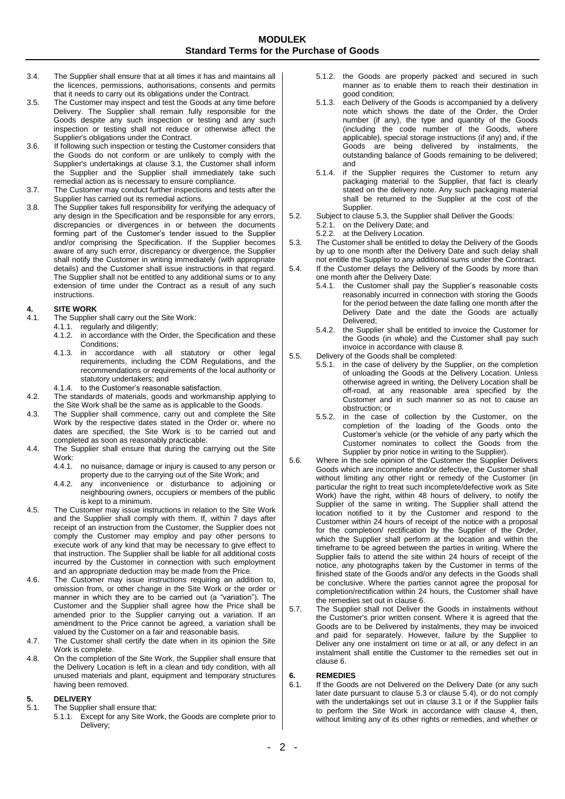### **MODULEK Standard Terms for the Purchase of Goods**

- 3.4. The Supplier shall ensure that at all times it has and maintains all the licences, permissions, authorisations, consents and permits that it needs to carry out its obligations under the Contract.
- 3.5. The Customer may inspect and test the Goods at any time before Delivery. The Supplier shall remain fully responsible for the Goods despite any such inspection or testing and any such inspection or testing shall not reduce or otherwise affect the Supplier's obligations under the Contract.
- 3.6. If following such inspection or testing the Customer considers that the Goods do not conform or are unlikely to comply with the Supplier's undertakings at clause 3.1, the Customer shall inform the Supplier and the Supplier shall immediately take such remedial action as is necessary to ensure compliance.
- 3.7. The Customer may conduct further inspections and tests after the Supplier has carried out its remedial actions.
- 3.8. The Supplier takes full responsibility for verifying the adequacy of any design in the Specification and be responsible for any errors, discrepancies or divergences in or between the documents forming part of the Customer's tender issued to the Supplier and/or comprising the Specification. If the Supplier becomes aware of any such error, discrepancy or divergence, the Supplier shall notify the Customer in writing immediately (with appropriate details) and the Customer shall issue instructions in that regard. The Supplier shall not be entitled to any additional sums or to any extension of time under the Contract as a result of any such instructions.

## **4. SITE WORK**

- The Supplier shall carry out the Site Work:
	- 4.1.1. regularly and diligently;<br>4.1.2. in accordance with the in accordance with the Order, the Specification and these Conditions;
	- 4.1.3. in accordance with all statutory or other legal requirements, including the CDM Regulations, and the recommendations or requirements of the local authority or statutory undertakers; and
	- 4.1.4. to the Customer's reasonable satisfaction.
- 4.2. The standards of materials, goods and workmanship applying to the Site Work shall be the same as is applicable to the Goods.
- 4.3. The Supplier shall commence, carry out and complete the Site Work by the respective dates stated in the Order or, where no dates are specified, the Site Work is to be carried out and completed as soon as reasonably practicable.
- 4.4. The Supplier shall ensure that during the carrying out the Site Work:<br>441
	- 4.4.1. no nuisance, damage or injury is caused to any person or property due to the carrying out of the Site Work; and
	- 4.4.2. any inconvenience or disturbance to adjoining or neighbouring owners, occupiers or members of the public is kept to a minimum.
- 4.5. The Customer may issue instructions in relation to the Site Work and the Supplier shall comply with them. If, within 7 days after receipt of an instruction from the Customer, the Supplier does not comply the Customer may employ and pay other persons to execute work of any kind that may be necessary to give effect to that instruction. The Supplier shall be liable for all additional costs incurred by the Customer in connection with such employment and an appropriate deduction may be made from the Price.
- 4.6. The Customer may issue instructions requiring an addition to, omission from, or other change in the Site Work or the order or manner in which they are to be carried out (a "variation"). The Customer and the Supplier shall agree how the Price shall be amended prior to the Supplier carrying out a variation. If an amendment to the Price cannot be agreed, a variation shall be valued by the Customer on a fair and reasonable basis.
- 4.7. The Customer shall certify the date when in its opinion the Site Work is complete.
- 4.8. On the completion of the Site Work, the Supplier shall ensure that the Delivery Location is left in a clean and tidy condition, with all unused materials and plant, equipment and temporary structures having been removed.

# **5. DELIVERY**

- The Supplier shall ensure that:
	- 5.1.1. Except for any Site Work, the Goods are complete prior to Delivery;
- 5.1.2. the Goods are properly packed and secured in such manner as to enable them to reach their destination in good condition;
- 5.1.3. each Delivery of the Goods is accompanied by a delivery note which shows the date of the Order, the Order number (if any), the type and quantity of the Goods (including the code number of the Goods, where applicable), special storage instructions (if any) and, if the Goods are being delivered by instalments, the outstanding balance of Goods remaining to be delivered; and
- 5.1.4. if the Supplier requires the Customer to return any packaging material to the Supplier, that fact is clearly stated on the delivery note. Any such packaging material shall be returned to the Supplier at the cost of the Supplier.
- 5.2. Subject to clause 5.3, the Supplier shall Deliver the Goods: 5.2.1. on the Delivery Date; and

5.2.2. at the Delivery Location.

- 5.3. The Customer shall be entitled to delay the Delivery of the Goods by up to one month after the Delivery Date and such delay shall not entitle the Supplier to any additional sums under the Contract.
- 5.4. If the Customer delays the Delivery of the Goods by more than one month after the Delivery Date:
	- 5.4.1. the Customer shall pay the Supplier's reasonable costs reasonably incurred in connection with storing the Goods for the period between the date falling one month after the Delivery Date and the date the Goods are actually Delivered;
	- 5.4.2. the Supplier shall be entitled to invoice the Customer for the Goods (in whole) and the Customer shall pay such invoice in accordance with clause 8.
- 5.5. Delivery of the Goods shall be completed:
	- 5.5.1. in the case of delivery by the Supplier, on the completion of unloading the Goods at the Delivery Location. Unless otherwise agreed in writing, the Delivery Location shall be off-road, at any reasonable area specified by the Customer and in such manner so as not to cause an obstruction; or
		- 5.5.2. in the case of collection by the Customer, on the completion of the loading of the Goods onto the Customer's vehicle (or the vehicle of any party which the Customer nominates to collect the Goods from the Supplier by prior notice in writing to the Supplier).
- 5.6. Where in the sole opinion of the Customer the Supplier Delivers Goods which are incomplete and/or defective, the Customer shall without limiting any other right or remedy of the Customer (in particular the right to treat such incomplete/defective work as Site Work) have the right, within 48 hours of delivery, to notify the Supplier of the same in writing. The Supplier shall attend the location notified to it by the Customer and respond to the Customer within 24 hours of receipt of the notice with a proposal for the completion/ rectification by the Supplier of the Order, which the Supplier shall perform at the location and within the timeframe to be agreed between the parties in writing. Where the Supplier fails to attend the site within 24 hours of receipt of the notice, any photographs taken by the Customer in terms of the finished state of the Goods and/or any defects in the Goods shall be conclusive. Where the parties cannot agree the proposal for completion/rectification within 24 hours, the Customer shall have the remedies set out in clause 6.
- 5.7. The Supplier shall not Deliver the Goods in instalments without the Customer's prior written consent. Where it is agreed that the Goods are to be Delivered by instalments, they may be invoiced and paid for separately. However, failure by the Supplier to Deliver any one instalment on time or at all, or any defect in an instalment shall entitle the Customer to the remedies set out in claus[e 6.](#page-1-0)

# <span id="page-1-0"></span>**6. REMEDIES**

If the Goods are not Delivered on the Delivery Date (or any such later date pursuant to clause 5.3 or clause 5.4), or do not comply with the undertakings set out in clause [3.1](#page-0-0) or if the Supplier fails to perform the Site Work in accordance with clause 4, then, without limiting any of its other rights or remedies, and whether or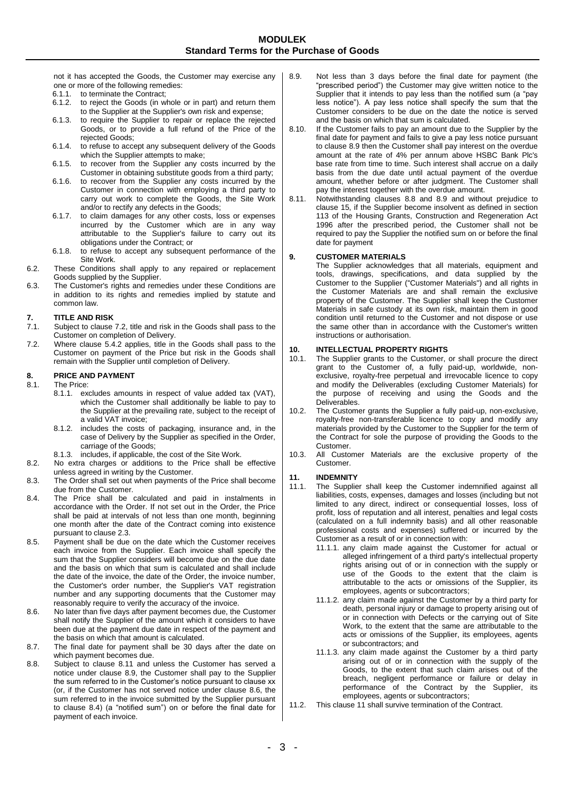not it has accepted the Goods, the Customer may exercise any one or more of the following remedies:

- 6.1.1. to terminate the Contract;<br>6.1.2. to reject the Goods (in w
- to reject the Goods (in whole or in part) and return them to the Supplier at the Supplier's own risk and expense;
- 6.1.3. to require the Supplier to repair or replace the rejected Goods, or to provide a full refund of the Price of the rejected Goods;
- 6.1.4. to refuse to accept any subsequent delivery of the Goods which the Supplier attempts to make;
- 6.1.5. to recover from the Supplier any costs incurred by the Customer in obtaining substitute goods from a third party;
- 6.1.6. to recover from the Supplier any costs incurred by the Customer in connection with employing a third party to carry out work to complete the Goods, the Site Work and/or to rectify any defects in the Goods;
- 6.1.7. to claim damages for any other costs, loss or expenses incurred by the Customer which are in any way attributable to the Supplier's failure to carry out its obligations under the Contract; or
- 6.1.8. to refuse to accept any subsequent performance of the Site Work.
- 6.2. These Conditions shall apply to any repaired or replacement Goods supplied by the Supplier.
- 6.3. The Customer's rights and remedies under these Conditions are in addition to its rights and remedies implied by statute and common law.

# **7. TITLE AND RISK**

- Subject to clause 7.2, title and risk in the Goods shall pass to the Customer on completion of Delivery.
- 7.2. Where clause 5.4.2 applies, title in the Goods shall pass to the Customer on payment of the Price but risk in the Goods shall remain with the Supplier until completion of Delivery.

### **8. PRICE AND PAYMENT**

8.1. The Price:

- 8.1.1. excludes amounts in respect of value added tax (VAT), which the Customer shall additionally be liable to pay to the Supplier at the prevailing rate, subject to the receipt of a valid VAT invoice;
- 8.1.2. includes the costs of packaging, insurance and, in the case of Delivery by the Supplier as specified in the Order, carriage of the Goods;
- 8.1.3. includes, if applicable, the cost of the Site Work.
- 8.2. No extra charges or additions to the Price shall be effective unless agreed in writing by the Customer.
- 8.3. The Order shall set out when payments of the Price shall become due from the Customer.
- <span id="page-2-3"></span>8.4. The Price shall be calculated and paid in instalments in accordance with the Order. If not set out in the Order, the Price shall be paid at intervals of not less than one month, beginning one month after the date of the Contract coming into existence pursuant to claus[e 2.3.](#page-0-1)
- 8.5. Payment shall be due on the date which the Customer receives each invoice from the Supplier. Each invoice shall specify the sum that the Supplier considers will become due on the due date and the basis on which that sum is calculated and shall include the date of the invoice, the date of the Order, the invoice number, the Customer's order number, the Supplier's VAT registration number and any supporting documents that the Customer may reasonably require to verify the accuracy of the invoice.
- <span id="page-2-2"></span>8.6. No later than five days after payment becomes due, the Customer shall notify the Supplier of the amount which it considers to have been due at the payment due date in respect of the payment and the basis on which that amount is calculated.
- 8.7. The final date for payment shall be 30 days after the date on which payment becomes due.
- <span id="page-2-4"></span>8.8. Subject to clause [8.11](#page-2-0) and unless the Customer has served a notice under clause [8.9,](#page-2-1) the Customer shall pay to the Supplier the sum referred to in the Customer's notice pursuant to clause xx (or, if the Customer has not served notice under clause [8.6,](#page-2-2) the sum referred to in the invoice submitted by the Supplier pursuant to clause [8.4\)](#page-2-3) (a "notified sum") on or before the final date for payment of each invoice.
- <span id="page-2-1"></span>8.9. Not less than 3 days before the final date for payment (the "prescribed period") the Customer may give written notice to the Supplier that it intends to pay less than the notified sum (a "pay less notice"). A pay less notice shall specify the sum that the Customer considers to be due on the date the notice is served and the basis on which that sum is calculated.
- 8.10. If the Customer fails to pay an amount due to the Supplier by the final date for payment and fails to give a pay less notice pursuant to clause [8.9](#page-2-1) then the Customer shall pay interest on the overdue amount at the rate of 4% per annum above HSBC Bank Plc's base rate from time to time. Such interest shall accrue on a daily basis from the due date until actual payment of the overdue amount, whether before or after judgment. The Customer shall pay the interest together with the overdue amount.
- <span id="page-2-0"></span>8.11. Notwithstanding clauses [8.8](#page-2-4) and [8.9](#page-2-1) and without prejudice to clause [15,](#page-3-1) if the Supplier become insolvent as defined in section 113 of the Housing Grants, Construction and Regeneration Act 1996 after the prescribed period, the Customer shall not be required to pay the Supplier the notified sum on or before the final date for payment

### **9. CUSTOMER MATERIALS**

The Supplier acknowledges that all materials, equipment and tools, drawings, specifications, and data supplied by the Customer to the Supplier ("Customer Materials") and all rights in the Customer Materials are and shall remain the exclusive property of the Customer. The Supplier shall keep the Customer Materials in safe custody at its own risk, maintain them in good condition until returned to the Customer and not dispose or use the same other than in accordance with the Customer's written instructions or authorisation.

# **10. INTELLECTUAL PROPERTY RIGHTS**<br>10.1. The Supplier grants to the Customer,

- The Supplier grants to the Customer, or shall procure the direct grant to the Customer of, a fully paid-up, worldwide, nonexclusive, royalty-free perpetual and irrevocable licence to copy and modify the Deliverables (excluding Customer Materials) for the purpose of receiving and using the Goods and the Deliverables.
- 10.2. The Customer grants the Supplier a fully paid-up, non-exclusive, royalty-free non-transferable licence to copy and modify any materials provided by the Customer to the Supplier for the term of the Contract for sole the purpose of providing the Goods to the Customer.
- 10.3. All Customer Materials are the exclusive property of the Customer.

### <span id="page-2-5"></span>**11. INDEMNITY**

- The Supplier shall keep the Customer indemnified against all liabilities, costs, expenses, damages and losses (including but not limited to any direct, indirect or consequential losses, loss of profit, loss of reputation and all interest, penalties and legal costs (calculated on a full indemnity basis) and all other reasonable professional costs and expenses) suffered or incurred by the Customer as a result of or in connection with:
	- 11.1.1. any claim made against the Customer for actual or alleged infringement of a third party's intellectual property rights arising out of or in connection with the supply or use of the Goods to the extent that the claim is attributable to the acts or omissions of the Supplier, its employees, agents or subcontractors;
	- 11.1.2. any claim made against the Customer by a third party for death, personal injury or damage to property arising out of or in connection with Defects or the carrying out of Site Work, to the extent that the same are attributable to the acts or omissions of the Supplier, its employees, agents or subcontractors; and
	- 11.1.3. any claim made against the Customer by a third party arising out of or in connection with the supply of the Goods, to the extent that such claim arises out of the breach, negligent performance or failure or delay in performance of the Contract by the Supplier, its employees, agents or subcontractors;
- 11.2. This claus[e 11](#page-2-5) shall survive termination of the Contract.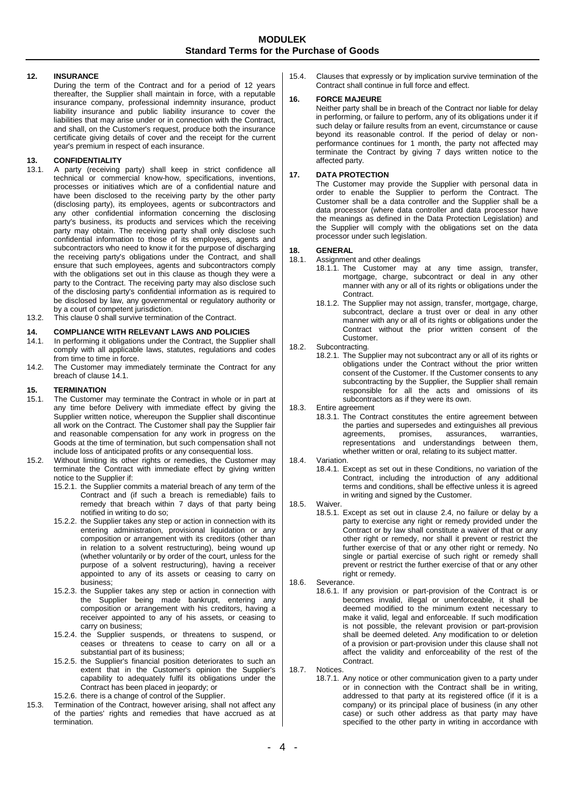### <span id="page-3-2"></span>**12. INSURANCE**

During the term of the Contract and for a period of 12 years thereafter, the Supplier shall maintain in force, with a reputable insurance company, professional indemnity insurance, product liability insurance and public liability insurance to cover the liabilities that may arise under or in connection with the Contract, and shall, on the Customer's request, produce both the insurance certificate giving details of cover and the receipt for the current year's premium in respect of each insurance.

## **13. CONFIDENTIALITY**

- 13.1. A party (receiving party) shall keep in strict confidence all technical or commercial know-how, specifications, inventions, processes or initiatives which are of a confidential nature and have been disclosed to the receiving party by the other party (disclosing party), its employees, agents or subcontractors and any other confidential information concerning the disclosing party's business, its products and services which the receiving party may obtain. The receiving party shall only disclose such confidential information to those of its employees, agents and subcontractors who need to know it for the purpose of discharging the receiving party's obligations under the Contract, and shall ensure that such employees, agents and subcontractors comply with the obligations set out in this clause as though they were a party to the Contract. The receiving party may also disclose such of the disclosing party's confidential information as is required to be disclosed by law, any governmental or regulatory authority or by a court of competent jurisdiction.
- 13.2. This claus[e 0](#page-3-2) shall survive termination of the Contract.

# <span id="page-3-3"></span>**14. COMPLIANCE WITH RELEVANT LAWS AND POLICIES**

- In performing it obligations under the Contract, the Supplier shall comply with all applicable laws, statutes, regulations and codes from time to time in force.
- 14.2. The Customer may immediately terminate the Contract for any breach of claus[e 14.1](#page-3-3).

# <span id="page-3-1"></span>**15. TERMINATION**

- The Customer may terminate the Contract in whole or in part at any time before Delivery with immediate effect by giving the Supplier written notice, whereupon the Supplier shall discontinue all work on the Contract. The Customer shall pay the Supplier fair and reasonable compensation for any work in progress on the Goods at the time of termination, but such compensation shall not include loss of anticipated profits or any consequential loss.
- 15.2. Without limiting its other rights or remedies, the Customer may terminate the Contract with immediate effect by giving written notice to the Supplier if:
	- 15.2.1. the Supplier commits a material breach of any term of the Contract and (if such a breach is remediable) fails to remedy that breach within 7 days of that party being notified in writing to do so;
	- 15.2.2. the Supplier takes any step or action in connection with its entering administration, provisional liquidation or any composition or arrangement with its creditors (other than in relation to a solvent restructuring), being wound up (whether voluntarily or by order of the court, unless for the purpose of a solvent restructuring), having a receiver appointed to any of its assets or ceasing to carry on business;
	- 15.2.3. the Supplier takes any step or action in connection with the Supplier being made bankrupt, entering any composition or arrangement with his creditors, having a receiver appointed to any of his assets, or ceasing to carry on business;
	- 15.2.4. the Supplier suspends, or threatens to suspend, or ceases or threatens to cease to carry on all or a substantial part of its business;
	- 15.2.5. the Supplier's financial position deteriorates to such an extent that in the Customer's opinion the Supplier's capability to adequately fulfil its obligations under the Contract has been placed in jeopardy; or

15.2.6. there is a change of control of the Supplier.

15.3. Termination of the Contract, however arising, shall not affect any of the parties' rights and remedies that have accrued as at termination.

15.4. Clauses that expressly or by implication survive termination of the Contract shall continue in full force and effect.

#### **16. FORCE MAJEURE**

Neither party shall be in breach of the Contract nor liable for delay in performing, or failure to perform, any of its obligations under it if such delay or failure results from an event, circumstance or cause beyond its reasonable control. If the period of delay or nonperformance continues for 1 month, the party not affected may terminate the Contract by giving 7 days written notice to the affected party.

#### **17. DATA PROTECTION**

The Customer may provide the Supplier with personal data in order to enable the Supplier to perform the Contract. The Customer shall be a data controller and the Supplier shall be a data processor (where data controller and data processor have the meanings as defined in the Data Protection Legislation) and the Supplier will comply with the obligations set on the data processor under such legislation.

## **18. GENERAL**

- Assignment and other dealings
	- 18.1.1. The Customer may at any time assign, transfer, mortgage, charge, subcontract or deal in any other manner with any or all of its rights or obligations under the Contract.
	- 18.1.2. The Supplier may not assign, transfer, mortgage, charge, subcontract, declare a trust over or deal in any other manner with any or all of its rights or obligations under the Contract without the prior written consent of the Customer.
- 18.2. Subcontracting.
	- 18.2.1. The Supplier may not subcontract any or all of its rights or obligations under the Contract without the prior written consent of the Customer. If the Customer consents to any subcontracting by the Supplier, the Supplier shall remain responsible for all the acts and omissions of its subcontractors as if they were its own.
- 18.3. Entire agreement
	- 18.3.1. The Contract constitutes the entire agreement between the parties and supersedes and extinguishes all previous agreements, promises, assurances, warranties, agreements, promises, assurances, warranties, representations and understandings between them, whether written or oral, relating to its subject matter.
- <span id="page-3-0"></span>18.4. Variation.
	- 18.4.1. Except as set out in these Conditions, no variation of the Contract, including the introduction of any additional terms and conditions, shall be effective unless it is agreed in writing and signed by the Customer.
- 18.5. Waiver.
	- 18.5.1. Except as set out in clause [2.4,](#page-0-2) no failure or delay by a party to exercise any right or remedy provided under the Contract or by law shall constitute a waiver of that or any other right or remedy, nor shall it prevent or restrict the further exercise of that or any other right or remedy. No single or partial exercise of such right or remedy shall prevent or restrict the further exercise of that or any other right or remedy.
- 18.6. Severance.
	- 18.6.1. If any provision or part-provision of the Contract is or becomes invalid, illegal or unenforceable, it shall be deemed modified to the minimum extent necessary to make it valid, legal and enforceable. If such modification is not possible, the relevant provision or part-provision shall be deemed deleted. Any modification to or deletion of a provision or part-provision under this clause shall not affect the validity and enforceability of the rest of the Contract.
- <span id="page-3-4"></span>18.7. Notices.
	- 18.7.1. Any notice or other communication given to a party under or in connection with the Contract shall be in writing, addressed to that party at its registered office (if it is a company) or its principal place of business (in any other case) or such other address as that party may have specified to the other party in writing in accordance with